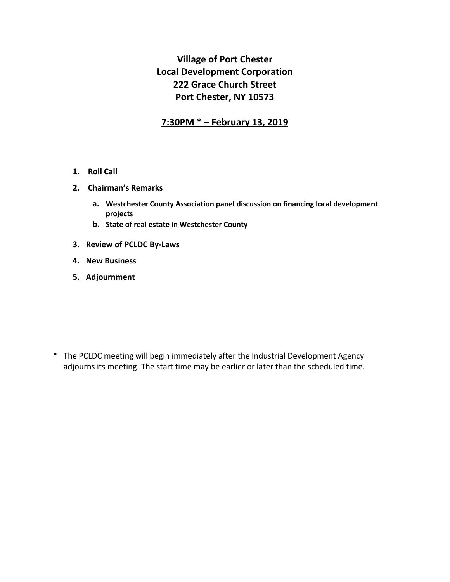# **Village of Port Chester Local Development Corporation 222 Grace Church Street Port Chester, NY 10573**

# **7:30PM \* – February 13, 2019**

- **1. Roll Call**
- **2. Chairman's Remarks** 
	- **a. Westchester County Association panel discussion on financing local development projects**
	- **b. State of real estate in Westchester County**
- **3. Review of PCLDC By-Laws**
- **4. New Business**
- **5. Adjournment**

\* The PCLDC meeting will begin immediately after the Industrial Development Agency adjourns its meeting. The start time may be earlier or later than the scheduled time.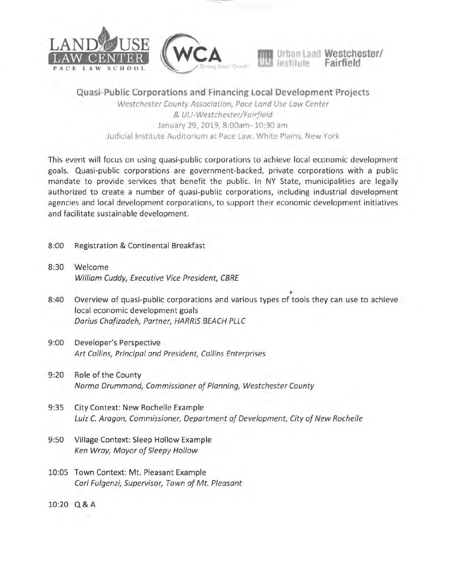





Quasi-Public Corporations and Financing Local Development Projects Westchester County Association, Pace Land Use Law Center

& ULI-Westchester/Fairfield January 29, 2019, 8:00am-10:30 am Judicial Institute Auditorium at Pace Law, White Plains, New York

This event will focus on using quasi-public corporations to achieve local economic development goals. Quasi-public corporations are government-backed, private corporations with a public mandate to provide services that benefit the public. In NY State, municipalities are legally authorized to create a number of quasi-public corporations, including industrial development agencies and local development corporations, to support their economic development initiatives and facilitate sustainable development.

- $8:00$ Registration & Continental Breakfast
- $8:30$ Welcome William Cuddy, Executive Vice President, CBRE
- $8:40$ Overview of quasi-public corporations and various types of tools they can use to achieve local economic development goals Darius Chafizadeh, Partner, HARRIS BEACH PLLC
- $9:00$ Developer's Perspective Art Collins, Principal and President, Collins Enterprises
- $9:20$ Role of the County Norma Drummond, Commissioner of Planning, Westchester County
- $9:35$ City Context: New Rochelle Example Luiz C. Aragon, Commissioner, Department of Development, City of New Rochelle
- $9:50$ Village Context: Sleep Hollow Example Ken Wray, Mayor of Sleepy Hollow
- 10:05 Town Context: Mt. Pleasant Example Carl Fulgenzi, Supervisor, Town of Mt. Pleasant

10:20 Q & A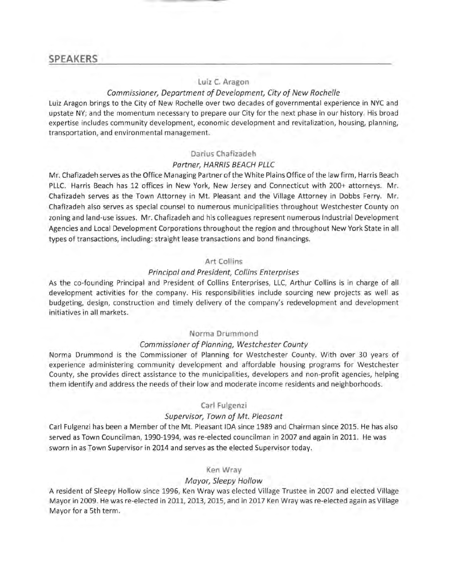# **SPEAKERS**

# Luiz C. Aragon

#### Commissioner, Department of Development, City of New Rochelle

Luiz Aragon brings to the City of New Rochelle over two decades of governmental experience in NYC and upstate NY; and the momentum necessary to prepare our City for the next phase in our history. His broad expertise includes community development, economic development and revitalization, housing, planning, transportation, and environmental management.

## Darius Chafizadeh

#### Partner, HARRIS BEACH PLLC

Mr. Chafizadeh serves as the Office Managing Partner of the White Plains Office of the law firm, Harris Beach PLLC. Harris Beach has 12 offices in New York, New Jersey and Connecticut with 200+ attorneys. Mr. Chafizadeh serves as the Town Attorney in Mt. Pleasant and the Village Attorney in Dobbs Ferry. Mr. Chafizadeh also serves as special counsel to numerous municipalities throughout Westchester County on zoning and land-use issues. Mr. Chafizadeh and his colleagues represent numerous Industrial Development Agencies and Local Development Corporations throughout the region and throughout New York State in all types of transactions, including: straight lease transactions and bond financings.

#### Art Collins

#### Principal and President, Collins Enterprises

As the co-founding Principal and President of Collins Enterprises, LLC, Arthur Collins is in charge of all development activities for the company. His responsibilities include sourcing new projects as well as budgeting, design, construction and timely delivery of the company's redevelopment and development initiatives in all markets.

#### Norma Drummond

#### Commissioner of Planning, Westchester County

Norma Drummond is the Commissioner of Planning for Westchester County. With over 30 years of experience administering community development and affordable housing programs for Westchester County, she provides direct assistance to the municipalities, developers and non-profit agencies, helping them identify and address the needs of their low and moderate income residents and neighborhoods.

## Carl Fulgenzi

#### Supervisor, Town of Mt. Pleasant

Carl Fulgenzi has been a Member of the Mt. Pleasant IDA since 1989 and Chairman since 2015. He has also served as Town Councilman, 1990-1994, was re-elected councilman in 2007 and again in 2011. He was sworn in as Town Supervisor in 2014 and serves as the elected Supervisor today.

#### Ken Wray

#### Mayor, Sleepy Hollow

A resident of Sleepy Hollow since 1996, Ken Wray was elected Village Trustee in 2007 and elected Village Mayor in 2009. He was re-elected in 2011, 2013, 2015, and in 2017 Ken Wray was re-elected again as Village Mayor for a 5th term.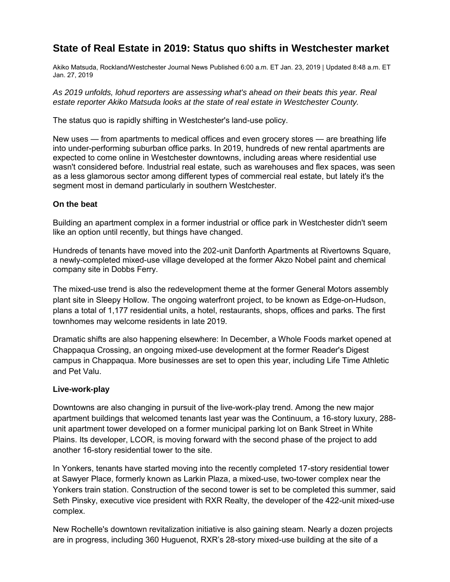# **State of Real Estate in 2019: Status quo shifts in Westchester market**

Akiko Matsuda, Rockland/Westchester Journal News Published 6:00 a.m. ET Jan. 23, 2019 | Updated 8:48 a.m. ET Jan. 27, 2019

*As 2019 unfolds, lohud reporters are assessing what's ahead on their beats this year. Real estate reporter Akiko Matsuda looks at the state of real estate in Westchester County.* 

The status quo is rapidly shifting in Westchester's land-use policy.

New uses — from apartments to medical offices and even grocery stores — are breathing life into under-performing suburban office parks. In 2019, hundreds of new rental apartments are expected to come online in Westchester downtowns, including areas where residential use wasn't considered before. Industrial real estate, such as warehouses and flex spaces, was seen as a less glamorous sector among different types of commercial real estate, but lately it's the segment most in demand particularly in southern Westchester.

# **On the beat**

Building an apartment complex in a former industrial or office park in Westchester didn't seem like an option until recently, but things have changed.

Hundreds of tenants have moved into the 202-unit Danforth Apartments at Rivertowns Square, a newly-completed mixed-use village developed at the former Akzo Nobel paint and chemical company site in Dobbs Ferry.

The mixed-use trend is also the redevelopment theme at the former General Motors assembly plant site in Sleepy Hollow. The ongoing waterfront project, to be known as Edge-on-Hudson, plans a total of 1,177 residential units, a hotel, restaurants, shops, offices and parks. The first townhomes may welcome residents in late 2019.

Dramatic shifts are also happening elsewhere: In December, a Whole Foods market opened at Chappaqua Crossing, an ongoing mixed-use development at the former Reader's Digest campus in Chappaqua. More businesses are set to open this year, including Life Time Athletic and Pet Valu.

# **Live-work-play**

Downtowns are also changing in pursuit of the live-work-play trend. Among the new major apartment buildings that welcomed tenants last year was the Continuum, a 16-story luxury, 288 unit apartment tower developed on a former municipal parking lot on Bank Street in White Plains. Its developer, LCOR, is moving forward with the second phase of the project to add another 16-story residential tower to the site.

In Yonkers, tenants have started moving into the recently completed 17-story residential tower at Sawyer Place, formerly known as Larkin Plaza, a mixed-use, two-tower complex near the Yonkers train station. Construction of the second tower is set to be completed this summer, said Seth Pinsky, executive vice president with RXR Realty, the developer of the 422-unit mixed-use complex.

New Rochelle's downtown revitalization initiative is also gaining steam. Nearly a dozen projects are in progress, including 360 Huguenot, RXR's 28-story mixed-use building at the site of a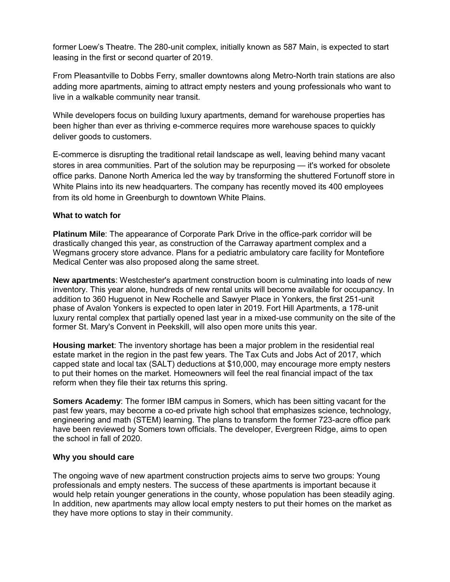former Loew's Theatre. The 280-unit complex, initially known as 587 Main, is expected to start leasing in the first or second quarter of 2019.

From Pleasantville to Dobbs Ferry, smaller downtowns along Metro-North train stations are also adding more apartments, aiming to attract empty nesters and young professionals who want to live in a walkable community near transit.

While developers focus on building luxury apartments, demand for warehouse properties has been higher than ever as thriving e-commerce requires more warehouse spaces to quickly deliver goods to customers.

E-commerce is disrupting the traditional retail landscape as well, leaving behind many vacant stores in area communities. Part of the solution may be repurposing — it's worked for obsolete office parks. Danone North America led the way by transforming the shuttered Fortunoff store in White Plains into its new headquarters. The company has recently moved its 400 employees from its old home in Greenburgh to downtown White Plains.

# **What to watch for**

**Platinum Mile**: The appearance of Corporate Park Drive in the office-park corridor will be drastically changed this year, as construction of the Carraway apartment complex and a Wegmans grocery store advance. Plans for a pediatric ambulatory care facility for Montefiore Medical Center was also proposed along the same street.

**New apartments**: Westchester's apartment construction boom is culminating into loads of new inventory. This year alone, hundreds of new rental units will become available for occupancy. In addition to 360 Huguenot in New Rochelle and Sawyer Place in Yonkers, the first 251-unit phase of Avalon Yonkers is expected to open later in 2019. Fort Hill Apartments, a 178-unit luxury rental complex that partially opened last year in a mixed-use community on the site of the former St. Mary's Convent in Peekskill, will also open more units this year.

**Housing market**: The inventory shortage has been a major problem in the residential real estate market in the region in the past few years. The Tax Cuts and Jobs Act of 2017, which capped state and local tax (SALT) deductions at \$10,000, may encourage more empty nesters to put their homes on the market. Homeowners will feel the real financial impact of the tax reform when they file their tax returns this spring.

**Somers Academy**: The former IBM campus in Somers, which has been sitting vacant for the past few years, may become a co-ed private high school that emphasizes science, technology, engineering and math (STEM) learning. The plans to transform the former 723-acre office park have been reviewed by Somers town officials. The developer, Evergreen Ridge, aims to open the school in fall of 2020.

# **Why you should care**

The ongoing wave of new apartment construction projects aims to serve two groups: Young professionals and empty nesters. The success of these apartments is important because it would help retain younger generations in the county, whose population has been steadily aging. In addition, new apartments may allow local empty nesters to put their homes on the market as they have more options to stay in their community.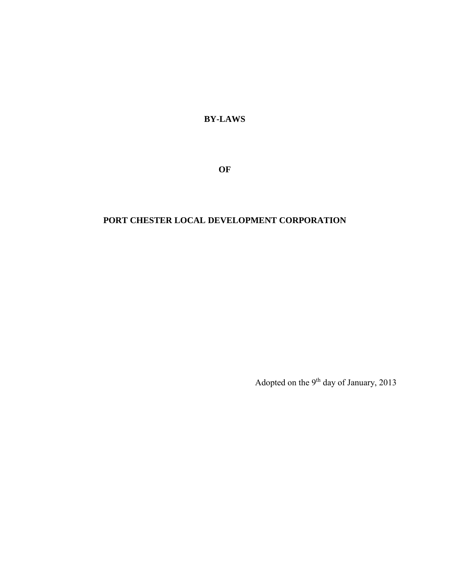**BY-LAWS** 

**OF**

# **PORT CHESTER LOCAL DEVELOPMENT CORPORATION**

Adopted on the  $9^{\rm th}$  day of January, 2013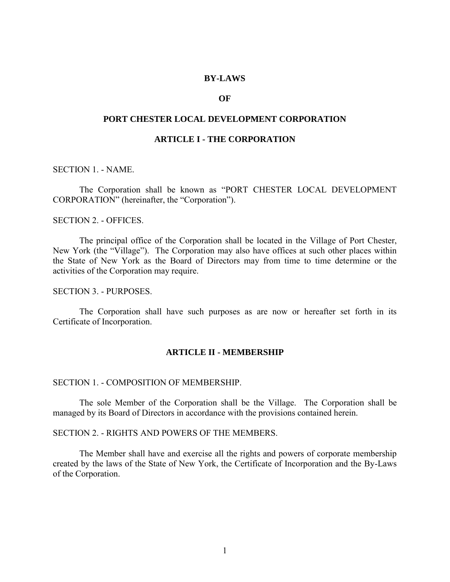## **BY-LAWS**

# **OF**

#### **PORT CHESTER LOCAL DEVELOPMENT CORPORATION**

# **ARTICLE I - THE CORPORATION**

SECTION 1. - NAME.

 The Corporation shall be known as "PORT CHESTER LOCAL DEVELOPMENT CORPORATION" (hereinafter, the "Corporation").

SECTION 2. - OFFICES.

 The principal office of the Corporation shall be located in the Village of Port Chester, New York (the "Village"). The Corporation may also have offices at such other places within the State of New York as the Board of Directors may from time to time determine or the activities of the Corporation may require.

SECTION 3. - PURPOSES.

 The Corporation shall have such purposes as are now or hereafter set forth in its Certificate of Incorporation.

#### **ARTICLE II - MEMBERSHIP**

#### SECTION 1. - COMPOSITION OF MEMBERSHIP.

 The sole Member of the Corporation shall be the Village. The Corporation shall be managed by its Board of Directors in accordance with the provisions contained herein.

SECTION 2. - RIGHTS AND POWERS OF THE MEMBERS.

 The Member shall have and exercise all the rights and powers of corporate membership created by the laws of the State of New York, the Certificate of Incorporation and the By-Laws of the Corporation.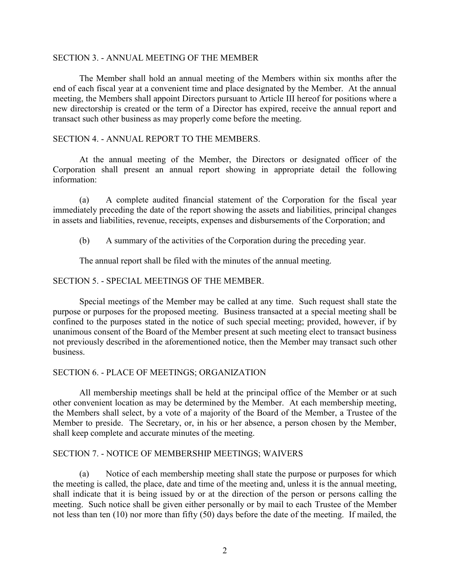## SECTION 3. - ANNUAL MEETING OF THE MEMBER

 The Member shall hold an annual meeting of the Members within six months after the end of each fiscal year at a convenient time and place designated by the Member. At the annual meeting, the Members shall appoint Directors pursuant to Article III hereof for positions where a new directorship is created or the term of a Director has expired, receive the annual report and transact such other business as may properly come before the meeting.

# SECTION 4. - ANNUAL REPORT TO THE MEMBERS.

 At the annual meeting of the Member, the Directors or designated officer of the Corporation shall present an annual report showing in appropriate detail the following information:

 (a) A complete audited financial statement of the Corporation for the fiscal year immediately preceding the date of the report showing the assets and liabilities, principal changes in assets and liabilities, revenue, receipts, expenses and disbursements of the Corporation; and

(b) A summary of the activities of the Corporation during the preceding year.

The annual report shall be filed with the minutes of the annual meeting.

# SECTION 5. - SPECIAL MEETINGS OF THE MEMBER.

 Special meetings of the Member may be called at any time. Such request shall state the purpose or purposes for the proposed meeting. Business transacted at a special meeting shall be confined to the purposes stated in the notice of such special meeting; provided, however, if by unanimous consent of the Board of the Member present at such meeting elect to transact business not previously described in the aforementioned notice, then the Member may transact such other business.

## SECTION 6. - PLACE OF MEETINGS; ORGANIZATION

 All membership meetings shall be held at the principal office of the Member or at such other convenient location as may be determined by the Member. At each membership meeting, the Members shall select, by a vote of a majority of the Board of the Member, a Trustee of the Member to preside. The Secretary, or, in his or her absence, a person chosen by the Member, shall keep complete and accurate minutes of the meeting.

## SECTION 7. - NOTICE OF MEMBERSHIP MEETINGS; WAIVERS

 (a) Notice of each membership meeting shall state the purpose or purposes for which the meeting is called, the place, date and time of the meeting and, unless it is the annual meeting, shall indicate that it is being issued by or at the direction of the person or persons calling the meeting. Such notice shall be given either personally or by mail to each Trustee of the Member not less than ten (10) nor more than fifty (50) days before the date of the meeting. If mailed, the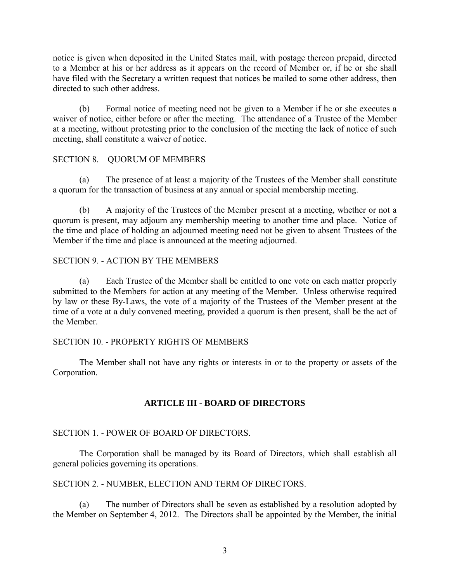notice is given when deposited in the United States mail, with postage thereon prepaid, directed to a Member at his or her address as it appears on the record of Member or, if he or she shall have filed with the Secretary a written request that notices be mailed to some other address, then directed to such other address.

 (b) Formal notice of meeting need not be given to a Member if he or she executes a waiver of notice, either before or after the meeting. The attendance of a Trustee of the Member at a meeting, without protesting prior to the conclusion of the meeting the lack of notice of such meeting, shall constitute a waiver of notice.

# SECTION 8. – QUORUM OF MEMBERS

 (a) The presence of at least a majority of the Trustees of the Member shall constitute a quorum for the transaction of business at any annual or special membership meeting.

 (b) A majority of the Trustees of the Member present at a meeting, whether or not a quorum is present, may adjourn any membership meeting to another time and place. Notice of the time and place of holding an adjourned meeting need not be given to absent Trustees of the Member if the time and place is announced at the meeting adjourned.

# SECTION 9. - ACTION BY THE MEMBERS

 (a) Each Trustee of the Member shall be entitled to one vote on each matter properly submitted to the Members for action at any meeting of the Member. Unless otherwise required by law or these By-Laws, the vote of a majority of the Trustees of the Member present at the time of a vote at a duly convened meeting, provided a quorum is then present, shall be the act of the Member.

# SECTION 10. - PROPERTY RIGHTS OF MEMBERS

 The Member shall not have any rights or interests in or to the property or assets of the Corporation.

# **ARTICLE III - BOARD OF DIRECTORS**

# SECTION 1. - POWER OF BOARD OF DIRECTORS.

 The Corporation shall be managed by its Board of Directors, which shall establish all general policies governing its operations.

# SECTION 2. - NUMBER, ELECTION AND TERM OF DIRECTORS.

 (a) The number of Directors shall be seven as established by a resolution adopted by the Member on September 4, 2012. The Directors shall be appointed by the Member, the initial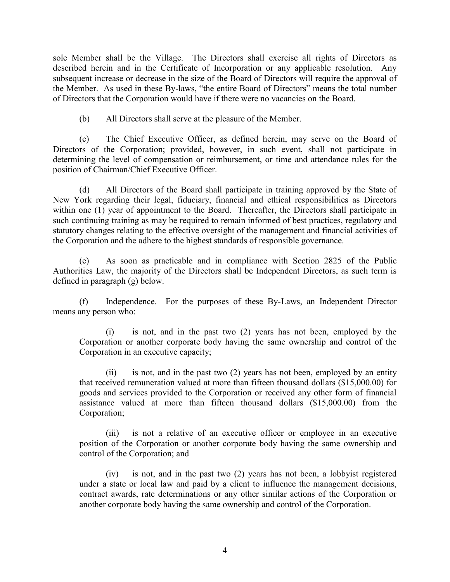sole Member shall be the Village. The Directors shall exercise all rights of Directors as described herein and in the Certificate of Incorporation or any applicable resolution. Any subsequent increase or decrease in the size of the Board of Directors will require the approval of the Member. As used in these By-laws, "the entire Board of Directors" means the total number of Directors that the Corporation would have if there were no vacancies on the Board.

(b) All Directors shall serve at the pleasure of the Member.

 (c) The Chief Executive Officer, as defined herein, may serve on the Board of Directors of the Corporation; provided, however, in such event, shall not participate in determining the level of compensation or reimbursement, or time and attendance rules for the position of Chairman/Chief Executive Officer.

 (d) All Directors of the Board shall participate in training approved by the State of New York regarding their legal, fiduciary, financial and ethical responsibilities as Directors within one (1) year of appointment to the Board. Thereafter, the Directors shall participate in such continuing training as may be required to remain informed of best practices, regulatory and statutory changes relating to the effective oversight of the management and financial activities of the Corporation and the adhere to the highest standards of responsible governance.

(e) As soon as practicable and in compliance with Section 2825 of the Public Authorities Law, the majority of the Directors shall be Independent Directors, as such term is defined in paragraph (g) below.

(f) Independence. For the purposes of these By-Laws, an Independent Director means any person who:

(i) is not, and in the past two (2) years has not been, employed by the Corporation or another corporate body having the same ownership and control of the Corporation in an executive capacity;

(ii) is not, and in the past two (2) years has not been, employed by an entity that received remuneration valued at more than fifteen thousand dollars (\$15,000.00) for goods and services provided to the Corporation or received any other form of financial assistance valued at more than fifteen thousand dollars (\$15,000.00) from the Corporation;

(iii) is not a relative of an executive officer or employee in an executive position of the Corporation or another corporate body having the same ownership and control of the Corporation; and

(iv) is not, and in the past two (2) years has not been, a lobbyist registered under a state or local law and paid by a client to influence the management decisions, contract awards, rate determinations or any other similar actions of the Corporation or another corporate body having the same ownership and control of the Corporation.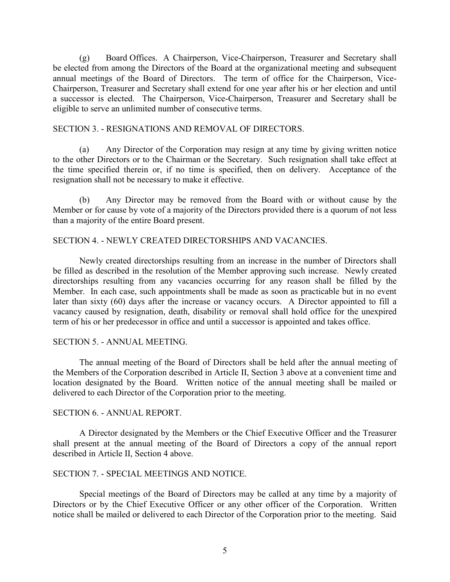(g) Board Offices. A Chairperson, Vice-Chairperson, Treasurer and Secretary shall be elected from among the Directors of the Board at the organizational meeting and subsequent annual meetings of the Board of Directors. The term of office for the Chairperson, Vice-Chairperson, Treasurer and Secretary shall extend for one year after his or her election and until a successor is elected. The Chairperson, Vice-Chairperson, Treasurer and Secretary shall be eligible to serve an unlimited number of consecutive terms.

## SECTION 3. - RESIGNATIONS AND REMOVAL OF DIRECTORS.

 (a) Any Director of the Corporation may resign at any time by giving written notice to the other Directors or to the Chairman or the Secretary. Such resignation shall take effect at the time specified therein or, if no time is specified, then on delivery. Acceptance of the resignation shall not be necessary to make it effective.

 (b) Any Director may be removed from the Board with or without cause by the Member or for cause by vote of a majority of the Directors provided there is a quorum of not less than a majority of the entire Board present.

# SECTION 4. - NEWLY CREATED DIRECTORSHIPS AND VACANCIES.

 Newly created directorships resulting from an increase in the number of Directors shall be filled as described in the resolution of the Member approving such increase. Newly created directorships resulting from any vacancies occurring for any reason shall be filled by the Member. In each case, such appointments shall be made as soon as practicable but in no event later than sixty (60) days after the increase or vacancy occurs. A Director appointed to fill a vacancy caused by resignation, death, disability or removal shall hold office for the unexpired term of his or her predecessor in office and until a successor is appointed and takes office.

## SECTION 5. - ANNUAL MEETING.

 The annual meeting of the Board of Directors shall be held after the annual meeting of the Members of the Corporation described in Article II, Section 3 above at a convenient time and location designated by the Board. Written notice of the annual meeting shall be mailed or delivered to each Director of the Corporation prior to the meeting.

## SECTION 6. - ANNUAL REPORT.

 A Director designated by the Members or the Chief Executive Officer and the Treasurer shall present at the annual meeting of the Board of Directors a copy of the annual report described in Article II, Section 4 above.

# SECTION 7. - SPECIAL MEETINGS AND NOTICE.

 Special meetings of the Board of Directors may be called at any time by a majority of Directors or by the Chief Executive Officer or any other officer of the Corporation. Written notice shall be mailed or delivered to each Director of the Corporation prior to the meeting. Said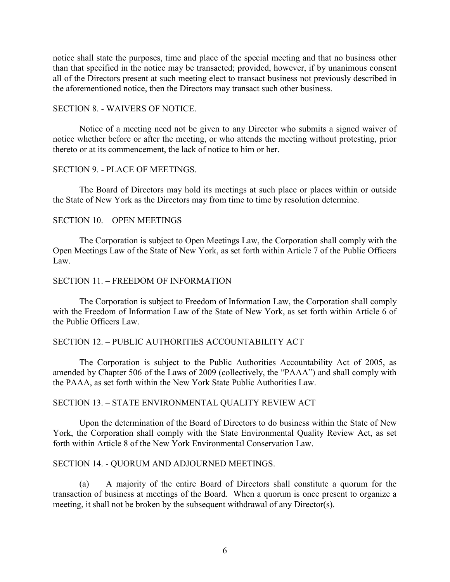notice shall state the purposes, time and place of the special meeting and that no business other than that specified in the notice may be transacted; provided, however, if by unanimous consent all of the Directors present at such meeting elect to transact business not previously described in the aforementioned notice, then the Directors may transact such other business.

#### SECTION 8. - WAIVERS OF NOTICE.

 Notice of a meeting need not be given to any Director who submits a signed waiver of notice whether before or after the meeting, or who attends the meeting without protesting, prior thereto or at its commencement, the lack of notice to him or her.

# SECTION 9. - PLACE OF MEETINGS.

 The Board of Directors may hold its meetings at such place or places within or outside the State of New York as the Directors may from time to time by resolution determine.

#### SECTION 10. – OPEN MEETINGS

 The Corporation is subject to Open Meetings Law, the Corporation shall comply with the Open Meetings Law of the State of New York, as set forth within Article 7 of the Public Officers  $L$ aw.

## SECTION 11. – FREEDOM OF INFORMATION

 The Corporation is subject to Freedom of Information Law, the Corporation shall comply with the Freedom of Information Law of the State of New York, as set forth within Article 6 of the Public Officers Law.

## SECTION 12. – PUBLIC AUTHORITIES ACCOUNTABILITY ACT

 The Corporation is subject to the Public Authorities Accountability Act of 2005, as amended by Chapter 506 of the Laws of 2009 (collectively, the "PAAA") and shall comply with the PAAA, as set forth within the New York State Public Authorities Law.

## SECTION 13. – STATE ENVIRONMENTAL QUALITY REVIEW ACT

 Upon the determination of the Board of Directors to do business within the State of New York, the Corporation shall comply with the State Environmental Quality Review Act, as set forth within Article 8 of the New York Environmental Conservation Law.

#### SECTION 14. - QUORUM AND ADJOURNED MEETINGS.

 (a) A majority of the entire Board of Directors shall constitute a quorum for the transaction of business at meetings of the Board. When a quorum is once present to organize a meeting, it shall not be broken by the subsequent withdrawal of any Director(s).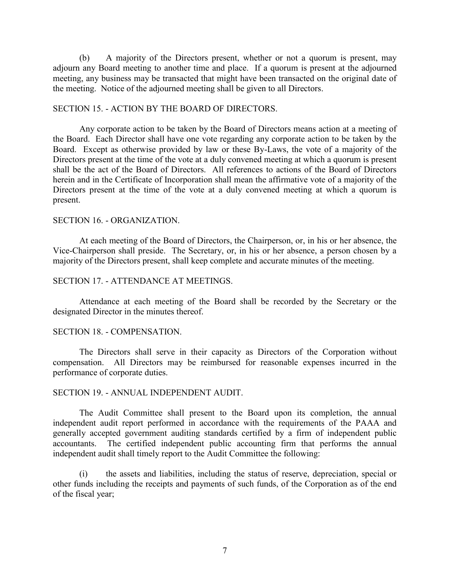(b) A majority of the Directors present, whether or not a quorum is present, may adjourn any Board meeting to another time and place. If a quorum is present at the adjourned meeting, any business may be transacted that might have been transacted on the original date of the meeting. Notice of the adjourned meeting shall be given to all Directors.

## SECTION 15. - ACTION BY THE BOARD OF DIRECTORS.

 Any corporate action to be taken by the Board of Directors means action at a meeting of the Board. Each Director shall have one vote regarding any corporate action to be taken by the Board. Except as otherwise provided by law or these By-Laws, the vote of a majority of the Directors present at the time of the vote at a duly convened meeting at which a quorum is present shall be the act of the Board of Directors. All references to actions of the Board of Directors herein and in the Certificate of Incorporation shall mean the affirmative vote of a majority of the Directors present at the time of the vote at a duly convened meeting at which a quorum is present.

#### SECTION 16. - ORGANIZATION.

 At each meeting of the Board of Directors, the Chairperson, or, in his or her absence, the Vice-Chairperson shall preside. The Secretary, or, in his or her absence, a person chosen by a majority of the Directors present, shall keep complete and accurate minutes of the meeting.

#### SECTION 17. - ATTENDANCE AT MEETINGS.

 Attendance at each meeting of the Board shall be recorded by the Secretary or the designated Director in the minutes thereof.

#### SECTION 18. - COMPENSATION.

 The Directors shall serve in their capacity as Directors of the Corporation without compensation. All Directors may be reimbursed for reasonable expenses incurred in the performance of corporate duties.

## SECTION 19. - ANNUAL INDEPENDENT AUDIT.

The Audit Committee shall present to the Board upon its completion, the annual independent audit report performed in accordance with the requirements of the PAAA and generally accepted government auditing standards certified by a firm of independent public accountants. The certified independent public accounting firm that performs the annual independent audit shall timely report to the Audit Committee the following:

(i) the assets and liabilities, including the status of reserve, depreciation, special or other funds including the receipts and payments of such funds, of the Corporation as of the end of the fiscal year;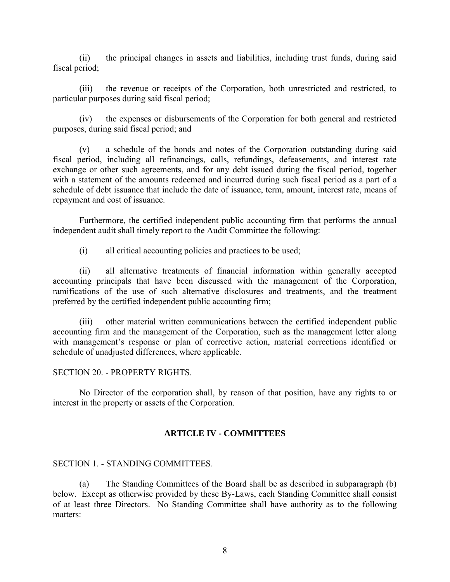(ii) the principal changes in assets and liabilities, including trust funds, during said fiscal period;

(iii) the revenue or receipts of the Corporation, both unrestricted and restricted, to particular purposes during said fiscal period;

(iv) the expenses or disbursements of the Corporation for both general and restricted purposes, during said fiscal period; and

(v) a schedule of the bonds and notes of the Corporation outstanding during said fiscal period, including all refinancings, calls, refundings, defeasements, and interest rate exchange or other such agreements, and for any debt issued during the fiscal period, together with a statement of the amounts redeemed and incurred during such fiscal period as a part of a schedule of debt issuance that include the date of issuance, term, amount, interest rate, means of repayment and cost of issuance.

Furthermore, the certified independent public accounting firm that performs the annual independent audit shall timely report to the Audit Committee the following:

(i) all critical accounting policies and practices to be used;

(ii) all alternative treatments of financial information within generally accepted accounting principals that have been discussed with the management of the Corporation, ramifications of the use of such alternative disclosures and treatments, and the treatment preferred by the certified independent public accounting firm;

other material written communications between the certified independent public accounting firm and the management of the Corporation, such as the management letter along with management's response or plan of corrective action, material corrections identified or schedule of unadjusted differences, where applicable.

# SECTION 20. - PROPERTY RIGHTS.

 No Director of the corporation shall, by reason of that position, have any rights to or interest in the property or assets of the Corporation.

# **ARTICLE IV - COMMITTEES**

# SECTION 1. - STANDING COMMITTEES.

 (a) The Standing Committees of the Board shall be as described in subparagraph (b) below. Except as otherwise provided by these By-Laws, each Standing Committee shall consist of at least three Directors. No Standing Committee shall have authority as to the following matters: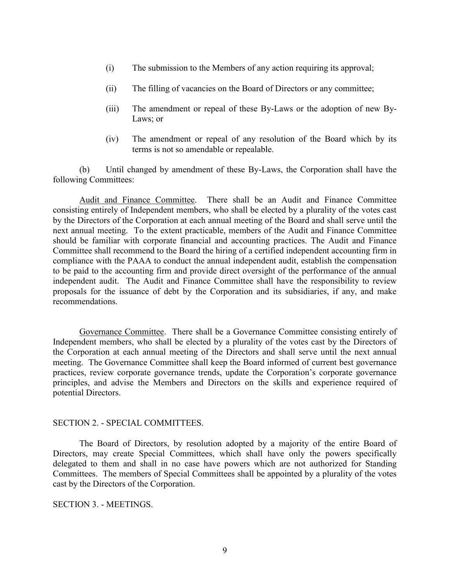- (i) The submission to the Members of any action requiring its approval;
- (ii) The filling of vacancies on the Board of Directors or any committee;
- (iii) The amendment or repeal of these By-Laws or the adoption of new By-Laws; or
- (iv) The amendment or repeal of any resolution of the Board which by its terms is not so amendable or repealable.

 (b) Until changed by amendment of these By-Laws, the Corporation shall have the following Committees:

Audit and Finance Committee. There shall be an Audit and Finance Committee consisting entirely of Independent members, who shall be elected by a plurality of the votes cast by the Directors of the Corporation at each annual meeting of the Board and shall serve until the next annual meeting. To the extent practicable, members of the Audit and Finance Committee should be familiar with corporate financial and accounting practices. The Audit and Finance Committee shall recommend to the Board the hiring of a certified independent accounting firm in compliance with the PAAA to conduct the annual independent audit, establish the compensation to be paid to the accounting firm and provide direct oversight of the performance of the annual independent audit. The Audit and Finance Committee shall have the responsibility to review proposals for the issuance of debt by the Corporation and its subsidiaries, if any, and make recommendations.

Governance Committee. There shall be a Governance Committee consisting entirely of Independent members, who shall be elected by a plurality of the votes cast by the Directors of the Corporation at each annual meeting of the Directors and shall serve until the next annual meeting. The Governance Committee shall keep the Board informed of current best governance practices, review corporate governance trends, update the Corporation's corporate governance principles, and advise the Members and Directors on the skills and experience required of potential Directors.

## SECTION 2. - SPECIAL COMMITTEES.

 The Board of Directors, by resolution adopted by a majority of the entire Board of Directors, may create Special Committees, which shall have only the powers specifically delegated to them and shall in no case have powers which are not authorized for Standing Committees. The members of Special Committees shall be appointed by a plurality of the votes cast by the Directors of the Corporation.

## SECTION 3. - MEETINGS.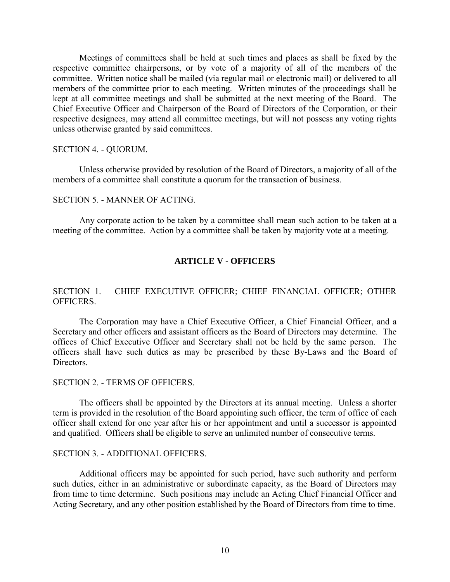Meetings of committees shall be held at such times and places as shall be fixed by the respective committee chairpersons, or by vote of a majority of all of the members of the committee. Written notice shall be mailed (via regular mail or electronic mail) or delivered to all members of the committee prior to each meeting. Written minutes of the proceedings shall be kept at all committee meetings and shall be submitted at the next meeting of the Board. The Chief Executive Officer and Chairperson of the Board of Directors of the Corporation, or their respective designees, may attend all committee meetings, but will not possess any voting rights unless otherwise granted by said committees.

#### SECTION 4. - QUORUM.

 Unless otherwise provided by resolution of the Board of Directors, a majority of all of the members of a committee shall constitute a quorum for the transaction of business.

## SECTION 5. - MANNER OF ACTING.

 Any corporate action to be taken by a committee shall mean such action to be taken at a meeting of the committee. Action by a committee shall be taken by majority vote at a meeting.

# **ARTICLE V - OFFICERS**

# SECTION 1. – CHIEF EXECUTIVE OFFICER; CHIEF FINANCIAL OFFICER; OTHER OFFICERS.

 The Corporation may have a Chief Executive Officer, a Chief Financial Officer, and a Secretary and other officers and assistant officers as the Board of Directors may determine. The offices of Chief Executive Officer and Secretary shall not be held by the same person. The officers shall have such duties as may be prescribed by these By-Laws and the Board of **Directors** 

## SECTION 2. - TERMS OF OFFICERS.

 The officers shall be appointed by the Directors at its annual meeting. Unless a shorter term is provided in the resolution of the Board appointing such officer, the term of office of each officer shall extend for one year after his or her appointment and until a successor is appointed and qualified. Officers shall be eligible to serve an unlimited number of consecutive terms.

#### SECTION 3. - ADDITIONAL OFFICERS.

 Additional officers may be appointed for such period, have such authority and perform such duties, either in an administrative or subordinate capacity, as the Board of Directors may from time to time determine. Such positions may include an Acting Chief Financial Officer and Acting Secretary, and any other position established by the Board of Directors from time to time.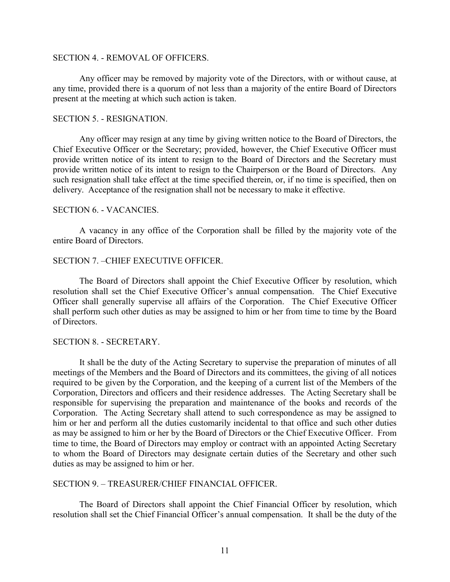#### SECTION 4. - REMOVAL OF OFFICERS.

 Any officer may be removed by majority vote of the Directors, with or without cause, at any time, provided there is a quorum of not less than a majority of the entire Board of Directors present at the meeting at which such action is taken.

#### SECTION 5. - RESIGNATION.

 Any officer may resign at any time by giving written notice to the Board of Directors, the Chief Executive Officer or the Secretary; provided, however, the Chief Executive Officer must provide written notice of its intent to resign to the Board of Directors and the Secretary must provide written notice of its intent to resign to the Chairperson or the Board of Directors. Any such resignation shall take effect at the time specified therein, or, if no time is specified, then on delivery. Acceptance of the resignation shall not be necessary to make it effective.

## SECTION 6. - VACANCIES.

 A vacancy in any office of the Corporation shall be filled by the majority vote of the entire Board of Directors.

#### SECTION 7. –CHIEF EXECUTIVE OFFICER.

 The Board of Directors shall appoint the Chief Executive Officer by resolution, which resolution shall set the Chief Executive Officer's annual compensation. The Chief Executive Officer shall generally supervise all affairs of the Corporation. The Chief Executive Officer shall perform such other duties as may be assigned to him or her from time to time by the Board of Directors.

#### SECTION 8. - SECRETARY.

 It shall be the duty of the Acting Secretary to supervise the preparation of minutes of all meetings of the Members and the Board of Directors and its committees, the giving of all notices required to be given by the Corporation, and the keeping of a current list of the Members of the Corporation, Directors and officers and their residence addresses. The Acting Secretary shall be responsible for supervising the preparation and maintenance of the books and records of the Corporation. The Acting Secretary shall attend to such correspondence as may be assigned to him or her and perform all the duties customarily incidental to that office and such other duties as may be assigned to him or her by the Board of Directors or the Chief Executive Officer. From time to time, the Board of Directors may employ or contract with an appointed Acting Secretary to whom the Board of Directors may designate certain duties of the Secretary and other such duties as may be assigned to him or her.

## SECTION 9. – TREASURER/CHIEF FINANCIAL OFFICER.

 The Board of Directors shall appoint the Chief Financial Officer by resolution, which resolution shall set the Chief Financial Officer's annual compensation. It shall be the duty of the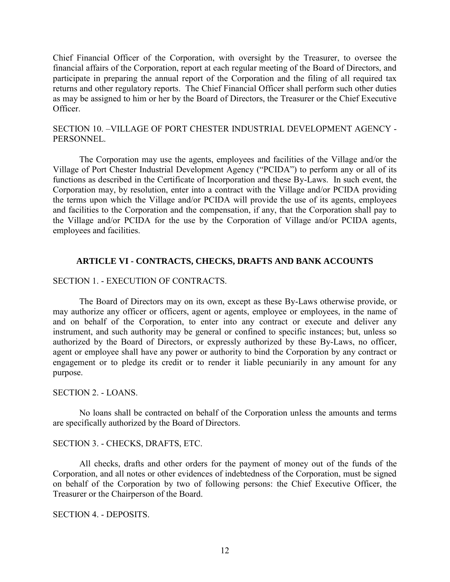Chief Financial Officer of the Corporation, with oversight by the Treasurer, to oversee the financial affairs of the Corporation, report at each regular meeting of the Board of Directors, and participate in preparing the annual report of the Corporation and the filing of all required tax returns and other regulatory reports. The Chief Financial Officer shall perform such other duties as may be assigned to him or her by the Board of Directors, the Treasurer or the Chief Executive Officer.

# SECTION 10. –VILLAGE OF PORT CHESTER INDUSTRIAL DEVELOPMENT AGENCY - PERSONNEL.

The Corporation may use the agents, employees and facilities of the Village and/or the Village of Port Chester Industrial Development Agency ("PCIDA") to perform any or all of its functions as described in the Certificate of Incorporation and these By-Laws. In such event, the Corporation may, by resolution, enter into a contract with the Village and/or PCIDA providing the terms upon which the Village and/or PCIDA will provide the use of its agents, employees and facilities to the Corporation and the compensation, if any, that the Corporation shall pay to the Village and/or PCIDA for the use by the Corporation of Village and/or PCIDA agents, employees and facilities.

# **ARTICLE VI - CONTRACTS, CHECKS, DRAFTS AND BANK ACCOUNTS**

# SECTION 1. - EXECUTION OF CONTRACTS.

 The Board of Directors may on its own, except as these By-Laws otherwise provide, or may authorize any officer or officers, agent or agents, employee or employees, in the name of and on behalf of the Corporation, to enter into any contract or execute and deliver any instrument, and such authority may be general or confined to specific instances; but, unless so authorized by the Board of Directors, or expressly authorized by these By-Laws, no officer, agent or employee shall have any power or authority to bind the Corporation by any contract or engagement or to pledge its credit or to render it liable pecuniarily in any amount for any purpose.

# SECTION 2. - LOANS.

 No loans shall be contracted on behalf of the Corporation unless the amounts and terms are specifically authorized by the Board of Directors.

# SECTION 3. - CHECKS, DRAFTS, ETC.

 All checks, drafts and other orders for the payment of money out of the funds of the Corporation, and all notes or other evidences of indebtedness of the Corporation, must be signed on behalf of the Corporation by two of following persons: the Chief Executive Officer, the Treasurer or the Chairperson of the Board.

## SECTION 4. - DEPOSITS.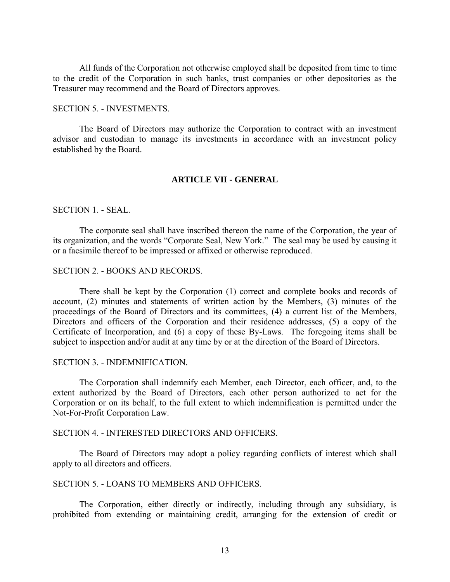All funds of the Corporation not otherwise employed shall be deposited from time to time to the credit of the Corporation in such banks, trust companies or other depositories as the Treasurer may recommend and the Board of Directors approves.

#### SECTION 5. - INVESTMENTS.

 The Board of Directors may authorize the Corporation to contract with an investment advisor and custodian to manage its investments in accordance with an investment policy established by the Board.

#### **ARTICLE VII - GENERAL**

## SECTION 1. - SEAL.

 The corporate seal shall have inscribed thereon the name of the Corporation, the year of its organization, and the words "Corporate Seal, New York." The seal may be used by causing it or a facsimile thereof to be impressed or affixed or otherwise reproduced.

## SECTION 2. - BOOKS AND RECORDS.

There shall be kept by the Corporation (1) correct and complete books and records of account, (2) minutes and statements of written action by the Members, (3) minutes of the proceedings of the Board of Directors and its committees, (4) a current list of the Members, Directors and officers of the Corporation and their residence addresses, (5) a copy of the Certificate of Incorporation, and (6) a copy of these By-Laws. The foregoing items shall be subject to inspection and/or audit at any time by or at the direction of the Board of Directors.

#### SECTION 3. - INDEMNIFICATION.

 The Corporation shall indemnify each Member, each Director, each officer, and, to the extent authorized by the Board of Directors, each other person authorized to act for the Corporation or on its behalf, to the full extent to which indemnification is permitted under the Not-For-Profit Corporation Law.

#### SECTION 4. - INTERESTED DIRECTORS AND OFFICERS.

 The Board of Directors may adopt a policy regarding conflicts of interest which shall apply to all directors and officers.

#### SECTION 5. - LOANS TO MEMBERS AND OFFICERS.

The Corporation, either directly or indirectly, including through any subsidiary, is prohibited from extending or maintaining credit, arranging for the extension of credit or